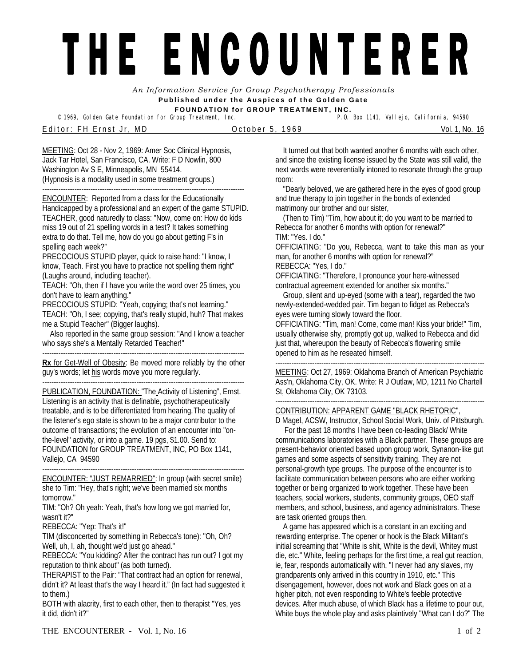## THE ENCOUNTERER

*An Information Service for Group Psychotherapy Professionals*  **Published under the Auspices of the Golden Gate FOUNDATION for GROUP TREATMENT, INC.** 

© 1969, Golden Gate Foundation for Group Treatment, Inc.

Editor: FH Ernst Jr, MD October 5, 1969 Vol. 1, No. 16

MEETING: Oct 28 - Nov 2, 1969: Amer Soc Clinical Hypnosis, Jack Tar Hotel, San Francisco, CA. Write: F D Nowlin, 800 Washington Av S E, Minneapolis, MN 55414. (Hypnosis is a modality used in some treatment groups.)

---------------------------------------------------------------------------------------- ENCOUNTER: Reported from a class for the Educationally Handicapped by a professional and an expert of the game STUPID. TEACHER, good naturedly to class: "Now, come on: How do kids miss 19 out of 21 spelling words in a test? It takes something extra to do that. Tell me, how do you go about getting F's in spelling each week?"

PRECOCIOUS STUPID player, quick to raise hand: "I know, I know, Teach. First you have to practice not spelling them right" (Laughs around, including teacher).

TEACH: "Oh, then if I have you write the word over 25 times, you don't have to learn anything."

PRECOCIOUS STUPID: "Yeah, copying; that's not learning." TEACH: "Oh, I see; copying, that's really stupid, huh? That makes me a Stupid Teacher" (Bigger laughs).

 Also reported in the same group session: "And I know a teacher who says she's a Mentally Retarded Teacher!"

----------------------------------------------------------------------------------------

**Rx** for Get-Well of Obesity: Be moved more reliably by the other guy's words; let his words move you more regularly.

---------------------------------------------------------------------------------------- PUBLICATION, FOUNDATION: "The Activity of Listening", Ernst. Listening is an activity that is definable, psychotherapeutically treatable, and is to be differentiated from hearing. The quality of the listener's ego state is shown to be a major contributor to the outcome of transactions; the evolution of an encounter into "onthe-level" activity, or into a game. 19 pgs, \$1.00. Send to: FOUNDATION for GROUP TREATMENT, INC, PO Box 1141, Vallejo, CA 94590

ENCOUNTER: "JUST REMARRIED": In group (with secret smile) she to Tim: "Hey, that's right; we've been married six months tomorrow."

----------------------------------------------------------------------------------------

TIM: "Oh? Oh yeah: Yeah, that's how long we got married for, wasn't it?"

REBECCA: "Yep: That's it!"

TIM (disconcerted by something in Rebecca's tone): "Oh, Oh? Well, uh, I, ah, thought we'd just go ahead."

REBECCA: "You kidding? After the contract has run out? I got my reputation to think about" (as both turned).

THERAPIST to the Pair: "That contract had an option for renewal, didn't it? At least that's the way I heard it." (In fact had suggested it to them.)

BOTH with alacrity, first to each other, then to therapist "Yes, yes it did, didn't it?"

It turned out that both wanted another 6 months with each other, and since the existing license issued by the State was still valid, the next words were reverentially intoned to resonate through the group room:

"Dearly beloved, we are gathered here in the eyes of good group and true therapy to join together in the bonds of extended matrimony our brother and our sister,

(Then to Tim) "Tim, how about it; do you want to be married to Rebecca for another 6 months with option for renewal?" TIM: "Yes. I do."

OFFICIATING: "Do you, Rebecca, want to take this man as your man, for another 6 months with option for renewal?"

REBECCA: "Yes, I do."

OFFICIATING: "Therefore, I pronounce your here-witnessed contractual agreement extended for another six months."

Group, silent and up-eyed (some with a tear), regarded the two newly-extended-wedded pair. Tim began to fidget as Rebecca's eyes were turning slowly toward the floor.

OFFICIATING: "Tim, man! Come, come man! Kiss your bride!" Tim, usually otherwise shy, promptly got up, walked to Rebecca and did just that, whereupon the beauty of Rebecca's flowering smile opened to him as he reseated himself.

-------------------------------------------------------------------------------------------

MEETING: Oct 27, 1969: Oklahoma Branch of American Psychiatric Ass'n, Oklahoma City, OK. Write: R J Outlaw, MD, 1211 No Chartell St, Oklahoma City, OK 73103.

## ------------------------------------------------------------------------------------------- CONTRIBUTION: APPARENT GAME "BLACK RHETORIC",

D Magel, ACSW, Instructor, School Social Work, Univ. of Pittsburgh.

For the past 18 months I have been co-leading Black/ White communications laboratories with a Black partner. These groups are present-behavior oriented based upon group work, Synanon-like gut games and some aspects of sensitivity training. They are not personal-growth type groups. The purpose of the encounter is to facilitate communication between persons who are either working together or being organized to work together. These have been teachers, social workers, students, community groups, OEO staff members, and school, business, and agency administrators. These are task oriented groups then.

A game has appeared which is a constant in an exciting and rewarding enterprise. The opener or hook is the Black Militant's initial screaming that "White is shit, White is the devil, Whitey must die, etc." White, feeling perhaps for the first time, a real gut reaction, ie, fear, responds automatically with, "I never had any slaves, my grandparents only arrived in this country in 1910, etc." This disengagement, however, does not work and Black goes on at a higher pitch, not even responding to White's feeble protective devices. After much abuse, of which Black has a lifetime to pour out, White buys the whole play and asks plaintively "What can I do?" The